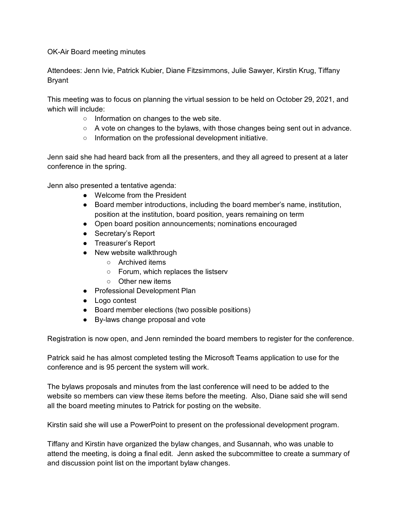OK-Air Board meeting minutes

Attendees: Jenn Ivie, Patrick Kubier, Diane Fitzsimmons, Julie Sawyer, Kirstin Krug, Tiffany Bryant

This meeting was to focus on planning the virtual session to be held on October 29, 2021, and which will include:

- Information on changes to the web site.
- $\circ$  A vote on changes to the bylaws, with those changes being sent out in advance.
- Information on the professional development initiative.

Jenn said she had heard back from all the presenters, and they all agreed to present at a later conference in the spring.

Jenn also presented a tentative agenda:

- Welcome from the President
- Board member introductions, including the board member's name, institution, position at the institution, board position, years remaining on term
- Open board position announcements; nominations encouraged
- Secretary's Report
- Treasurer's Report
- New website walkthrough
	- Archived items
	- Forum, which replaces the listserv
	- Other new items
- Professional Development Plan
- Logo contest
- Board member elections (two possible positions)
- By-laws change proposal and vote

Registration is now open, and Jenn reminded the board members to register for the conference.

Patrick said he has almost completed testing the Microsoft Teams application to use for the conference and is 95 percent the system will work.

The bylaws proposals and minutes from the last conference will need to be added to the website so members can view these items before the meeting. Also, Diane said she will send all the board meeting minutes to Patrick for posting on the website.

Kirstin said she will use a PowerPoint to present on the professional development program.

Tiffany and Kirstin have organized the bylaw changes, and Susannah, who was unable to attend the meeting, is doing a final edit. Jenn asked the subcommittee to create a summary of and discussion point list on the important bylaw changes.